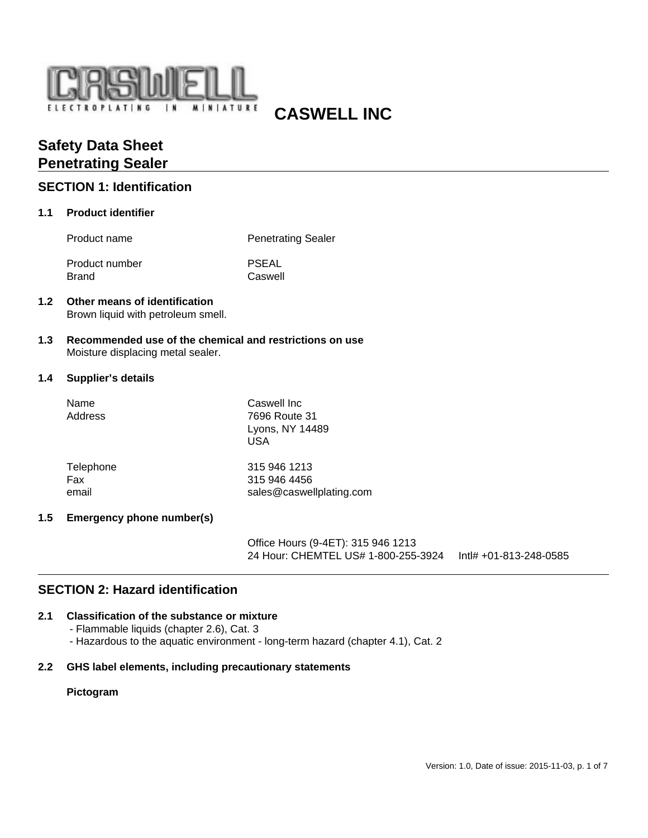

# **CASWELL INC**

# **Safety Data Sheet Penetrating Sealer**

### **SECTION 1: Identification**

### **1.1 Product identifier**

Product name Penetrating Sealer

Product number PSEAL Brand Caswell

### **1.2 Other means of identification** Brown liquid with petroleum smell.

**1.3 Recommended use of the chemical and restrictions on use** Moisture displacing metal sealer.

### **1.4 Supplier's details**

| Name<br>Address | Caswell Inc<br>7696 Route 31<br>Lyons, NY 14489<br>USA |
|-----------------|--------------------------------------------------------|
| Telephone       | 315 946 1213                                           |
| Fax             | 315 946 4456                                           |
| email           | sales@caswellplating.com                               |

### **1.5 Emergency phone number(s)**

Office Hours (9-4ET): 315 946 1213 24 Hour: CHEMTEL US# 1-800-255-3924 Intl# +01-813-248-0585

# **SECTION 2: Hazard identification**

### **2.1 Classification of the substance or mixture**

- Flammable liquids (chapter 2.6), Cat. 3
- Hazardous to the aquatic environment long-term hazard (chapter 4.1), Cat. 2

### **2.2 GHS label elements, including precautionary statements**

### **Pictogram**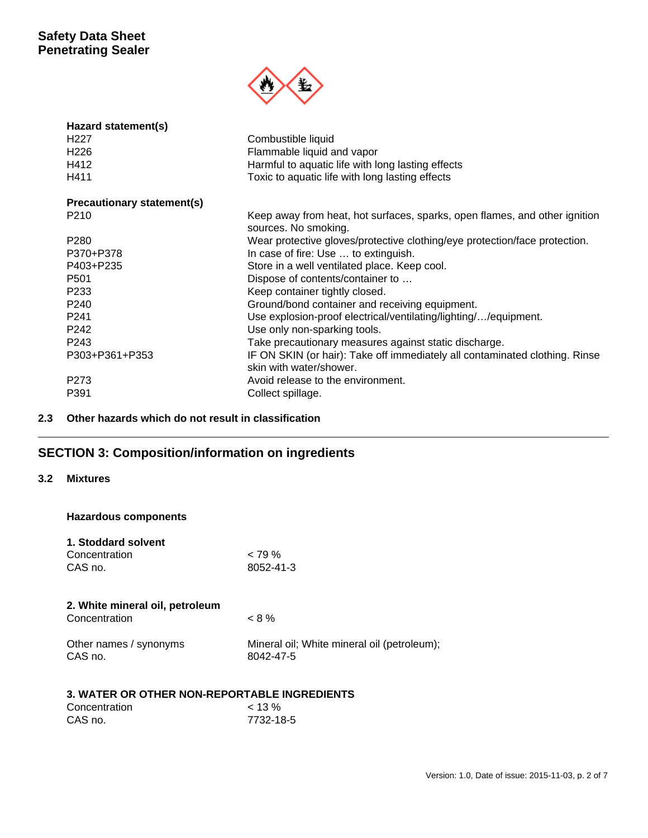

| Hazard statement(s)        |                                                                                                        |
|----------------------------|--------------------------------------------------------------------------------------------------------|
| H <sub>22</sub> 7          | Combustible liquid                                                                                     |
| H <sub>226</sub>           | Flammable liquid and vapor                                                                             |
| H412                       | Harmful to aquatic life with long lasting effects                                                      |
| H411                       | Toxic to aquatic life with long lasting effects                                                        |
| Precautionary statement(s) |                                                                                                        |
| P210                       | Keep away from heat, hot surfaces, sparks, open flames, and other ignition<br>sources. No smoking.     |
| P <sub>280</sub>           | Wear protective gloves/protective clothing/eye protection/face protection.                             |
| P370+P378                  | In case of fire: Use  to extinguish.                                                                   |
| P403+P235                  | Store in a well ventilated place. Keep cool.                                                           |
| P <sub>501</sub>           | Dispose of contents/container to                                                                       |
| P <sub>233</sub>           | Keep container tightly closed.                                                                         |
| P <sub>240</sub>           | Ground/bond container and receiving equipment.                                                         |
| P <sub>241</sub>           | Use explosion-proof electrical/ventilating/lighting//equipment.                                        |
| P242                       | Use only non-sparking tools.                                                                           |
| P <sub>243</sub>           | Take precautionary measures against static discharge.                                                  |
| P303+P361+P353             | IF ON SKIN (or hair): Take off immediately all contaminated clothing. Rinse<br>skin with water/shower. |
| P273                       | Avoid release to the environment.                                                                      |
| P391                       | Collect spillage.                                                                                      |

### **2.3 Other hazards which do not result in classification**

# **SECTION 3: Composition/information on ingredients**

### **3.2 Mixtures**

**Hazardous components**

| 1. Stoddard solvent |           |
|---------------------|-----------|
| Concentration       | $< 79\%$  |
| CAS no.             | 8052-41-3 |

| $< 8\%$                                                  |
|----------------------------------------------------------|
| Mineral oil; White mineral oil (petroleum);<br>8042-47-5 |
|                                                          |

### **3. WATER OR OTHER NON-REPORTABLE INGREDIENTS**

| Concentration | $< 13 \%$ |
|---------------|-----------|
| CAS no.       | 7732-18-5 |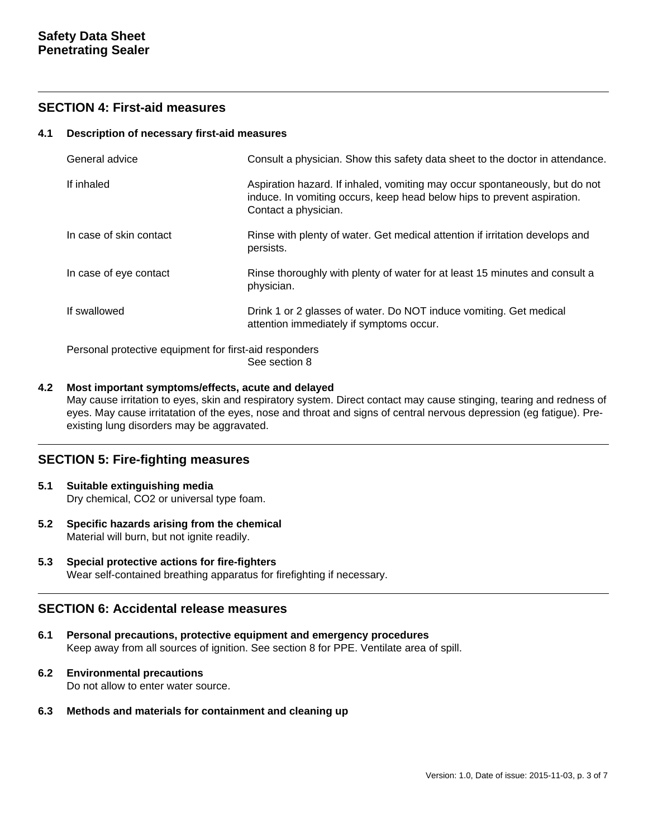### **SECTION 4: First-aid measures**

### **4.1 Description of necessary first-aid measures**

| General advice                                         | Consult a physician. Show this safety data sheet to the doctor in attendance.                                                                                                  |  |
|--------------------------------------------------------|--------------------------------------------------------------------------------------------------------------------------------------------------------------------------------|--|
| If inhaled                                             | Aspiration hazard. If inhaled, vomiting may occur spontaneously, but do not<br>induce. In vomiting occurs, keep head below hips to prevent aspiration.<br>Contact a physician. |  |
| In case of skin contact                                | Rinse with plenty of water. Get medical attention if irritation develops and<br>persists.                                                                                      |  |
| In case of eye contact                                 | Rinse thoroughly with plenty of water for at least 15 minutes and consult a<br>physician.                                                                                      |  |
| If swallowed                                           | Drink 1 or 2 glasses of water. Do NOT induce vomiting. Get medical<br>attention immediately if symptoms occur.                                                                 |  |
| Personal protective equipment for first-aid responders |                                                                                                                                                                                |  |

See section 8

### **4.2 Most important symptoms/effects, acute and delayed**

May cause irritation to eyes, skin and respiratory system. Direct contact may cause stinging, tearing and redness of eyes. May cause irritatation of the eyes, nose and throat and signs of central nervous depression (eg fatigue). Preexisting lung disorders may be aggravated.

### **SECTION 5: Fire-fighting measures**

- **5.1 Suitable extinguishing media** Dry chemical, CO2 or universal type foam.
- **5.2 Specific hazards arising from the chemical** Material will burn, but not ignite readily.
- **5.3 Special protective actions for fire-fighters** Wear self-contained breathing apparatus for firefighting if necessary.

### **SECTION 6: Accidental release measures**

- **6.1 Personal precautions, protective equipment and emergency procedures** Keep away from all sources of ignition. See section 8 for PPE. Ventilate area of spill.
- **6.2 Environmental precautions**

Do not allow to enter water source.

**6.3 Methods and materials for containment and cleaning up**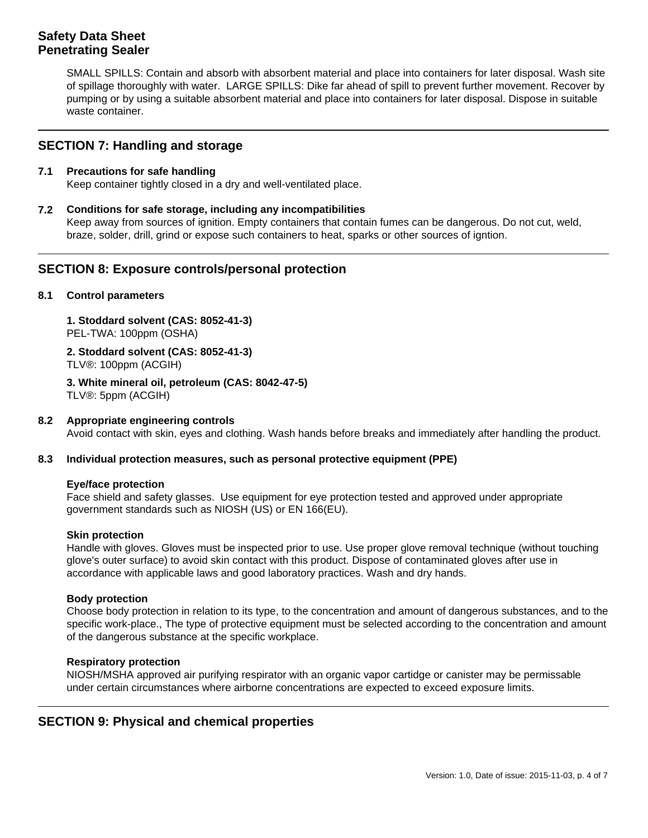SMALL SPILLS: Contain and absorb with absorbent material and place into containers for later disposal. Wash site of spillage thoroughly with water. LARGE SPILLS: Dike far ahead of spill to prevent further movement. Recover by pumping or by using a suitable absorbent material and place into containers for later disposal. Dispose in suitable waste container.

### **SECTION 7: Handling and storage**

### **7.1 Precautions for safe handling**

Keep container tightly closed in a dry and well-ventilated place.

**7.2 Conditions for safe storage, including any incompatibilities**

Keep away from sources of ignition. Empty containers that contain fumes can be dangerous. Do not cut, weld, braze, solder, drill, grind or expose such containers to heat, sparks or other sources of igntion.

### **SECTION 8: Exposure controls/personal protection**

### **8.1 Control parameters**

**1. Stoddard solvent (CAS: 8052-41-3)**  PEL-TWA: 100ppm (OSHA)

**2. Stoddard solvent (CAS: 8052-41-3)**  TLV®: 100ppm (ACGIH)

**3. White mineral oil, petroleum (CAS: 8042-47-5)**  TLV®: 5ppm (ACGIH)

### **8.2 Appropriate engineering controls**

Avoid contact with skin, eyes and clothing. Wash hands before breaks and immediately after handling the product.

### **8.3 Individual protection measures, such as personal protective equipment (PPE)**

### **Eye/face protection**

Face shield and safety glasses. Use equipment for eye protection tested and approved under appropriate government standards such as NIOSH (US) or EN 166(EU).

### **Skin protection**

Handle with gloves. Gloves must be inspected prior to use. Use proper glove removal technique (without touching glove's outer surface) to avoid skin contact with this product. Dispose of contaminated gloves after use in accordance with applicable laws and good laboratory practices. Wash and dry hands.

### **Body protection**

Choose body protection in relation to its type, to the concentration and amount of dangerous substances, and to the specific work-place., The type of protective equipment must be selected according to the concentration and amount of the dangerous substance at the specific workplace.

### **Respiratory protection**

NIOSH/MSHA approved air purifying respirator with an organic vapor cartidge or canister may be permissable under certain circumstances where airborne concentrations are expected to exceed exposure limits.

### **SECTION 9: Physical and chemical properties**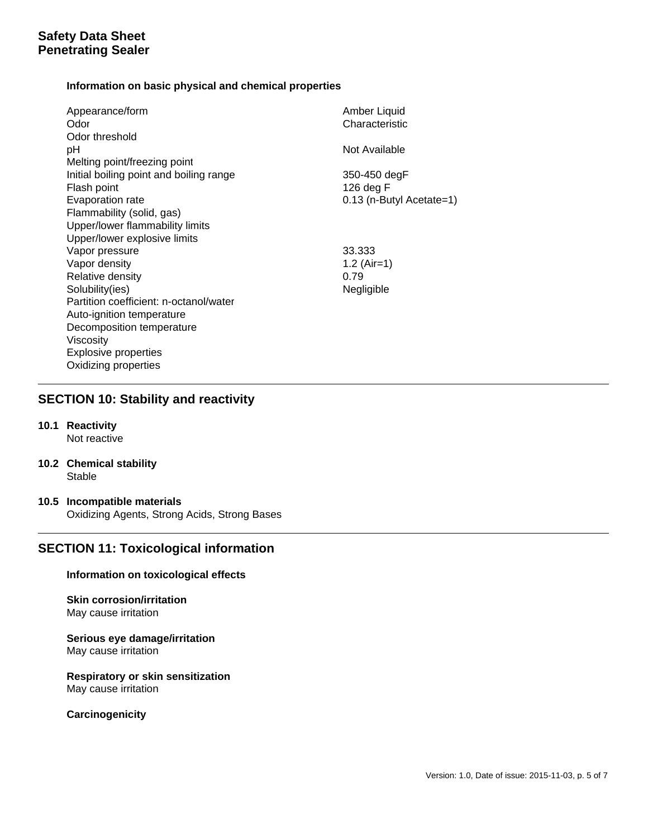### **Information on basic physical and chemical properties**

| Appearance/form<br>Odor                 | Amber Liquid<br>Characteristic |
|-----------------------------------------|--------------------------------|
| Odor threshold                          |                                |
| pH                                      | Not Available                  |
| Melting point/freezing point            |                                |
| Initial boiling point and boiling range | 350-450 degF                   |
| Flash point                             | 126 deg F                      |
| Evaporation rate                        | 0.13 (n-Butyl Acetate=1)       |
| Flammability (solid, gas)               |                                |
| Upper/lower flammability limits         |                                |
| Upper/lower explosive limits            |                                |
| Vapor pressure                          | 33.333                         |
| Vapor density                           | 1.2 $(Air=1)$                  |
| Relative density                        | 0.79                           |
| Solubility(ies)                         | Negligible                     |
| Partition coefficient: n-octanol/water  |                                |
| Auto-ignition temperature               |                                |
| Decomposition temperature               |                                |
| Viscosity                               |                                |
| <b>Explosive properties</b>             |                                |
| Oxidizing properties                    |                                |

### **SECTION 10: Stability and reactivity**

- **10.1 Reactivity** Not reactive
- **10.2 Chemical stability** Stable
- **10.5 Incompatible materials** Oxidizing Agents, Strong Acids, Strong Bases

# **SECTION 11: Toxicological information**

### **Information on toxicological effects**

#### **Skin corrosion/irritation** May cause irritation

### **Serious eye damage/irritation** May cause irritation

### **Respiratory or skin sensitization** May cause irritation

**Carcinogenicity**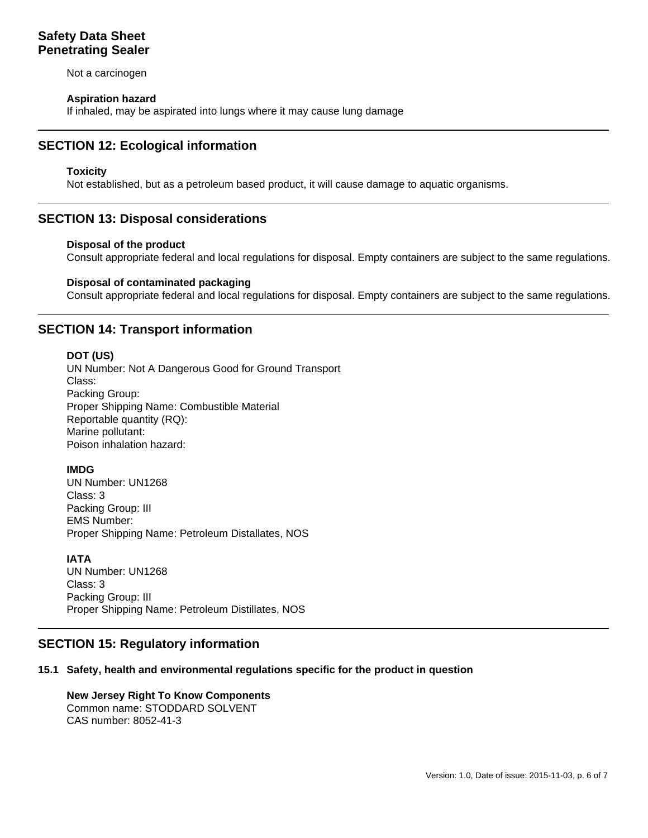Not a carcinogen

### **Aspiration hazard**

If inhaled, may be aspirated into lungs where it may cause lung damage

# **SECTION 12: Ecological information**

### **Toxicity**

Not established, but as a petroleum based product, it will cause damage to aquatic organisms.

### **SECTION 13: Disposal considerations**

### **Disposal of the product**

Consult appropriate federal and local regulations for disposal. Empty containers are subject to the same regulations.

### **Disposal of contaminated packaging**

Consult appropriate federal and local regulations for disposal. Empty containers are subject to the same regulations.

### **SECTION 14: Transport information**

### **DOT (US)**

UN Number: Not A Dangerous Good for Ground Transport Class: Packing Group: Proper Shipping Name: Combustible Material Reportable quantity (RQ): Marine pollutant: Poison inhalation hazard:

### **IMDG**

UN Number: UN1268 Class: 3 Packing Group: III EMS Number: Proper Shipping Name: Petroleum Distallates, NOS

### **IATA**

UN Number: UN1268 Class: 3 Packing Group: III Proper Shipping Name: Petroleum Distillates, NOS

### **SECTION 15: Regulatory information**

### **15.1 Safety, health and environmental regulations specific for the product in question**

#### **New Jersey Right To Know Components** Common name: STODDARD SOLVENT CAS number: 8052-41-3